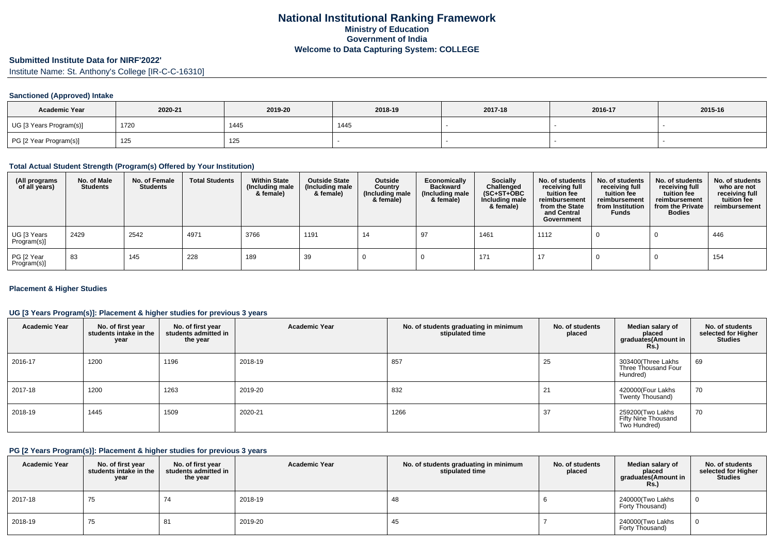# **Submitted Institute Data for NIRF'2022'**

Institute Name: St. Anthony's College [IR-C-C-16310]

### **Sanctioned (Approved) Intake**

| <b>Academic Year</b>    | 2020-21 | 2019-20 | 2018-19 | 2017-18 | 2016-17 | 2015-16 |
|-------------------------|---------|---------|---------|---------|---------|---------|
| UG [3 Years Program(s)] | 1720    | 1445    | 1445    |         |         |         |
| PG [2 Year Program(s)]  | 125     | 125     |         |         |         |         |

#### **Total Actual Student Strength (Program(s) Offered by Your Institution)**

| (All programs<br>of all years) | No. of Male<br><b>Students</b> | No. of Female<br>Students | <b>Total Students</b> | <b>Within State</b><br>(Including male<br>& female) | <b>Outside State</b><br>(Including male<br>& female) | Outside<br>Country<br>(Including male<br>& female) | Economically<br><b>Backward</b><br>(Including male<br>& female) | <b>Socially</b><br>Challenged<br>$(SC+ST+OBC)$<br>Including male<br>& female) | No. of students<br>receiving full<br>tuition fee<br>reimbursement<br>from the State<br>and Central<br>Government | No. of students<br>receiving full<br>tuition fee<br>reimbursement<br>from Institution<br><b>Funds</b> | No. of students<br>receiving full<br>tuition fee<br>reimbursement<br>from the Private<br><b>Bodies</b> | No. of students<br>who are not<br>receiving full<br>tuition fee<br>reimbursement |
|--------------------------------|--------------------------------|---------------------------|-----------------------|-----------------------------------------------------|------------------------------------------------------|----------------------------------------------------|-----------------------------------------------------------------|-------------------------------------------------------------------------------|------------------------------------------------------------------------------------------------------------------|-------------------------------------------------------------------------------------------------------|--------------------------------------------------------------------------------------------------------|----------------------------------------------------------------------------------|
| UG [3 Years<br>Program(s)]     | 2429                           | 2542                      | 4971                  | 3766                                                | 1191                                                 | 14                                                 | 97                                                              | 1461                                                                          | 1112                                                                                                             |                                                                                                       |                                                                                                        | 446                                                                              |
| PG [2 Year<br>Program(s)]      | 83                             | 145                       | 228                   | 189                                                 | 39                                                   |                                                    |                                                                 | 171                                                                           |                                                                                                                  |                                                                                                       |                                                                                                        | 154                                                                              |

### **Placement & Higher Studies**

### **UG [3 Years Program(s)]: Placement & higher studies for previous 3 years**

| <b>Academic Year</b> | No. of first year<br>students intake in the<br>year | No. of first year<br>students admitted in<br>the year | <b>Academic Year</b> | No. of students graduating in minimum<br>stipulated time | No. of students<br>placed | Median salary of<br>placed<br>graduates(Amount in<br><b>Rs.)</b> | No. of students<br>selected for Higher<br><b>Studies</b> |
|----------------------|-----------------------------------------------------|-------------------------------------------------------|----------------------|----------------------------------------------------------|---------------------------|------------------------------------------------------------------|----------------------------------------------------------|
| 2016-17              | 1200                                                | 1196                                                  | 2018-19              | 857                                                      | 25                        | 303400(Three Lakhs<br>Three Thousand Four<br>Hundred)            | 69                                                       |
| 2017-18              | 1200                                                | 1263                                                  | 2019-20              | 832                                                      | 21                        | 420000(Four Lakhs<br>Twenty Thousand)                            | 70                                                       |
| 2018-19              | 1445                                                | 1509                                                  | 2020-21              | 1266                                                     | 37                        | 259200(Two Lakhs<br>Fifty Nine Thousand<br>Two Hundred)          | 70                                                       |

#### **PG [2 Years Program(s)]: Placement & higher studies for previous 3 years**

| <b>Academic Year</b> | No. of first year<br>students intake in the<br>year | No. of first year<br>students admitted in<br>the year | <b>Academic Year</b> | No. of students graduating in minimum<br>stipulated time | No. of students<br>placed | Median salary of<br>placed<br>graduates(Amount in<br><b>Rs.)</b> | No. of students<br>selected for Higher<br><b>Studies</b> |
|----------------------|-----------------------------------------------------|-------------------------------------------------------|----------------------|----------------------------------------------------------|---------------------------|------------------------------------------------------------------|----------------------------------------------------------|
| 2017-18              | 75                                                  | 74                                                    | 2018-19              | 48                                                       |                           | 240000(Two Lakhs<br>Forty Thousand)                              |                                                          |
| 2018-19              | 75                                                  | 81                                                    | 2019-20              | 45                                                       |                           | 240000(Two Lakhs<br>Forty Thousand)                              |                                                          |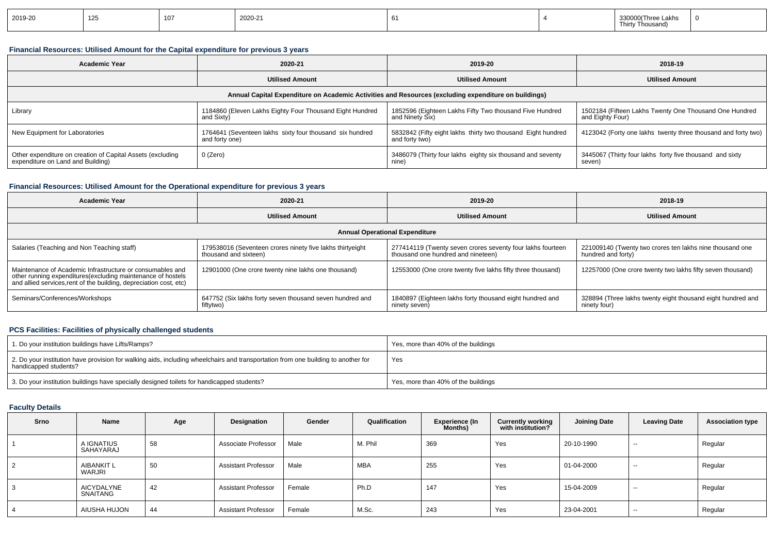|  | 2019-20 | 125 | $40-$ | 2020-21 |  |  | Lakhs<br>Thirty<br>: Thousanc |  |
|--|---------|-----|-------|---------|--|--|-------------------------------|--|
|--|---------|-----|-------|---------|--|--|-------------------------------|--|

### **Financial Resources: Utilised Amount for the Capital expenditure for previous 3 years**

| <b>Academic Year</b>                                                                            | 2020-21                                                                    | 2019-20                                                                                              | 2018-19                                                                    |  |
|-------------------------------------------------------------------------------------------------|----------------------------------------------------------------------------|------------------------------------------------------------------------------------------------------|----------------------------------------------------------------------------|--|
| <b>Utilised Amount</b>                                                                          |                                                                            | <b>Utilised Amount</b>                                                                               | <b>Utilised Amount</b>                                                     |  |
|                                                                                                 |                                                                            | Annual Capital Expenditure on Academic Activities and Resources (excluding expenditure on buildings) |                                                                            |  |
| Library                                                                                         | 1184860 (Eleven Lakhs Eighty Four Thousand Eight Hundred<br>and Sixty)     | 1852596 (Eighteen Lakhs Fifty Two thousand Five Hundred<br>and Ninety Six)                           | 1502184 (Fifteen Lakhs Twenty One Thousand One Hundred<br>and Eighty Four) |  |
| New Equipment for Laboratories                                                                  | 1764641 (Seventeen lakhs sixty four thousand six hundred<br>and forty one) | 5832842 (Fifty eight lakhs thirty two thousand Eight hundred<br>and forty two)                       | 4123042 (Forty one lakhs twenty three thousand and forty two)              |  |
| Other expenditure on creation of Capital Assets (excluding<br>expenditure on Land and Building) | 0 (Zero)                                                                   | 3486079 (Thirty four lakhs eighty six thousand and seventy<br>nine)                                  | 3445067 (Thirty four lakhs forty five thousand and sixty<br>seven)         |  |

### **Financial Resources: Utilised Amount for the Operational expenditure for previous 3 years**

| <b>Academic Year</b>                                                                                                                                                                            | 2020-21                                                                            | 2019-20                                                                                          | 2018-19                                                                        |  |
|-------------------------------------------------------------------------------------------------------------------------------------------------------------------------------------------------|------------------------------------------------------------------------------------|--------------------------------------------------------------------------------------------------|--------------------------------------------------------------------------------|--|
| <b>Utilised Amount</b>                                                                                                                                                                          |                                                                                    | <b>Utilised Amount</b>                                                                           | <b>Utilised Amount</b>                                                         |  |
|                                                                                                                                                                                                 |                                                                                    | <b>Annual Operational Expenditure</b>                                                            |                                                                                |  |
| Salaries (Teaching and Non Teaching staff)                                                                                                                                                      | 179538016 (Seventeen crores ninety five lakhs thirtyeight<br>thousand and sixteen) | 277414119 (Twenty seven crores seventy four lakhs fourteen<br>thousand one hundred and nineteen) | 221009140 (Twenty two crores ten lakhs nine thousand one<br>hundred and forty) |  |
| Maintenance of Academic Infrastructure or consumables and<br>other running expenditures (excluding maintenance of hostels<br>and allied services, rent of the building, depreciation cost, etc) | 12901000 (One crore twenty nine lakhs one thousand)                                | 12553000 (One crore twenty five lakhs fifty three thousand)                                      | 12257000 (One crore twenty two lakhs fifty seven thousand)                     |  |
| Seminars/Conferences/Workshops                                                                                                                                                                  | 647752 (Six lakhs forty seven thousand seven hundred and<br>fiftytwo)              | 1840897 (Eighteen lakhs forty thousand eight hundred and<br>ninety seven)                        | 328894 (Three lakhs twenty eight thousand eight hundred and<br>ninety four)    |  |

### **PCS Facilities: Facilities of physically challenged students**

| 1. Do your institution buildings have Lifts/Ramps?                                                                                                         | Yes, more than 40% of the buildings |
|------------------------------------------------------------------------------------------------------------------------------------------------------------|-------------------------------------|
| 2. Do your institution have provision for walking aids, including wheelchairs and transportation from one building to another for<br>handicapped students? | Yes                                 |
| 3. Do your institution buildings have specially designed toilets for handicapped students?                                                                 | Yes, more than 40% of the buildings |

## **Faculty Details**

| Srno | Name                          | Age | Designation                | Gender | Qualification | Experience (In<br>Months) | <b>Currently working</b><br>with institution? | <b>Joining Date</b> | <b>Leaving Date</b> | <b>Association type</b> |
|------|-------------------------------|-----|----------------------------|--------|---------------|---------------------------|-----------------------------------------------|---------------------|---------------------|-------------------------|
|      | A IGNATIUS<br>SAHAYARAJ       | 58  | Associate Professor        | Male   | M. Phil       | 369                       | Yes                                           | 20-10-1990          | $-$                 | Regular                 |
| 2    | <b>AIBANKIT L</b><br>WARJRI   | 50  | <b>Assistant Professor</b> | Male   | MBA           | 255                       | Yes                                           | 01-04-2000          | $- -$               | Regular                 |
| 3    | <b>AICYDALYNE</b><br>SNAITANG | 42  | <b>Assistant Professor</b> | Female | Ph.D          | 147                       | Yes                                           | 15-04-2009          | $-$                 | Regular                 |
| 4    | AIUSHA HUJON                  | 44  | <b>Assistant Professor</b> | Female | M.Sc.         | 243                       | Yes                                           | 23-04-2001          | $-$                 | Regular                 |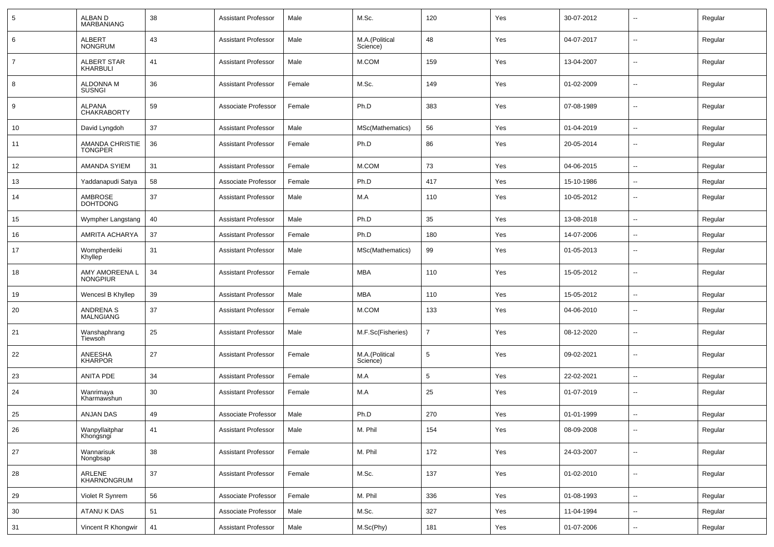| 5              | ALBAN D<br><b>MARBANIANG</b>        | 38 | <b>Assistant Professor</b> | Male   | M.Sc.                      | 120            | Yes | 30-07-2012 | -−                       | Regular |
|----------------|-------------------------------------|----|----------------------------|--------|----------------------------|----------------|-----|------------|--------------------------|---------|
| 6              | ALBERT<br><b>NONGRUM</b>            | 43 | <b>Assistant Professor</b> | Male   | M.A.(Political<br>Science) | 48             | Yes | 04-07-2017 | ⊷.                       | Regular |
| $\overline{7}$ | ALBERT STAR<br>KHARBULI             | 41 | <b>Assistant Professor</b> | Male   | M.COM                      | 159            | Yes | 13-04-2007 | ⊷.                       | Regular |
| 8              | <b>ALDONNA M</b><br><b>SUSNGI</b>   | 36 | <b>Assistant Professor</b> | Female | M.Sc.                      | 149            | Yes | 01-02-2009 | ⊷.                       | Regular |
| 9              | <b>ALPANA</b><br><b>CHAKRABORTY</b> | 59 | Associate Professor        | Female | Ph.D                       | 383            | Yes | 07-08-1989 | ⊷.                       | Regular |
| 10             | David Lyngdoh                       | 37 | <b>Assistant Professor</b> | Male   | MSc(Mathematics)           | 56             | Yes | 01-04-2019 | ⊷.                       | Regular |
| 11             | AMANDA CHRISTIE<br><b>TONGPER</b>   | 36 | <b>Assistant Professor</b> | Female | Ph.D                       | 86             | Yes | 20-05-2014 | $\overline{\phantom{a}}$ | Regular |
| 12             | AMANDA SYIEM                        | 31 | <b>Assistant Professor</b> | Female | M.COM                      | 73             | Yes | 04-06-2015 | $\overline{\phantom{a}}$ | Regular |
| 13             | Yaddanapudi Satya                   | 58 | Associate Professor        | Female | Ph.D                       | 417            | Yes | 15-10-1986 | --                       | Regular |
| 14             | AMBROSE<br><b>DOHTDONG</b>          | 37 | <b>Assistant Professor</b> | Male   | M.A                        | 110            | Yes | 10-05-2012 | -−                       | Regular |
| 15             | Wympher Langstang                   | 40 | <b>Assistant Professor</b> | Male   | Ph.D                       | 35             | Yes | 13-08-2018 | --                       | Regular |
| 16             | AMRITA ACHARYA                      | 37 | <b>Assistant Professor</b> | Female | Ph.D                       | 180            | Yes | 14-07-2006 | $\overline{\phantom{a}}$ | Regular |
| 17             | Wompherdeiki<br>Khyllep             | 31 | <b>Assistant Professor</b> | Male   | MSc(Mathematics)           | 99             | Yes | 01-05-2013 | --                       | Regular |
| 18             | AMY AMOREENA L<br><b>NONGPIUR</b>   | 34 | <b>Assistant Professor</b> | Female | <b>MBA</b>                 | 110            | Yes | 15-05-2012 | $\overline{\phantom{a}}$ | Regular |
| 19             | Wencesl B Khyllep                   | 39 | <b>Assistant Professor</b> | Male   | MBA                        | 110            | Yes | 15-05-2012 | $\overline{\phantom{a}}$ | Regular |
| 20             | ANDRENA S<br><b>MALNGIANG</b>       | 37 | <b>Assistant Professor</b> | Female | M.COM                      | 133            | Yes | 04-06-2010 | $\overline{\phantom{a}}$ | Regular |
| 21             | Wanshaphrang<br>Tiewsoh             | 25 | <b>Assistant Professor</b> | Male   | M.F.Sc(Fisheries)          | $\overline{7}$ | Yes | 08-12-2020 | --                       | Regular |
| 22             | ANEESHA<br><b>KHARPOR</b>           | 27 | <b>Assistant Professor</b> | Female | M.A.(Political<br>Science) | 5              | Yes | 09-02-2021 | $\overline{\phantom{a}}$ | Regular |
| 23             | ANITA PDE                           | 34 | <b>Assistant Professor</b> | Female | M.A                        | 5              | Yes | 22-02-2021 | ⊷.                       | Regular |
| 24             | Wanrimaya<br>Kharmawshun            | 30 | <b>Assistant Professor</b> | Female | M.A                        | 25             | Yes | 01-07-2019 | −−                       | Regular |
| 25             | ANJAN DAS                           | 49 | Associate Professor        | Male   | Ph.D                       | 270            | Yes | 01-01-1999 | $\overline{a}$           | Regular |
| 26             | Wanpyllaitphar<br>Khongsngi         | 41 | <b>Assistant Professor</b> | Male   | M. Phil                    | 154            | Yes | 08-09-2008 | $\overline{\phantom{a}}$ | Regular |
| 27             | Wannarisuk<br>Nongbsap              | 38 | <b>Assistant Professor</b> | Female | M. Phil                    | 172            | Yes | 24-03-2007 | $\overline{\phantom{a}}$ | Regular |
| 28             | ARLENE<br>KHARNONGRUM               | 37 | <b>Assistant Professor</b> | Female | M.Sc.                      | 137            | Yes | 01-02-2010 | $\overline{\phantom{a}}$ | Regular |
| 29             | Violet R Synrem                     | 56 | Associate Professor        | Female | M. Phil                    | 336            | Yes | 01-08-1993 | $\overline{\phantom{a}}$ | Regular |
| 30             | ATANU K DAS                         | 51 | Associate Professor        | Male   | M.Sc.                      | 327            | Yes | 11-04-1994 | -−                       | Regular |
| 31             | Vincent R Khongwir                  | 41 | <b>Assistant Professor</b> | Male   | M.Sc(Phy)                  | 181            | Yes | 01-07-2006 | Щ,                       | Regular |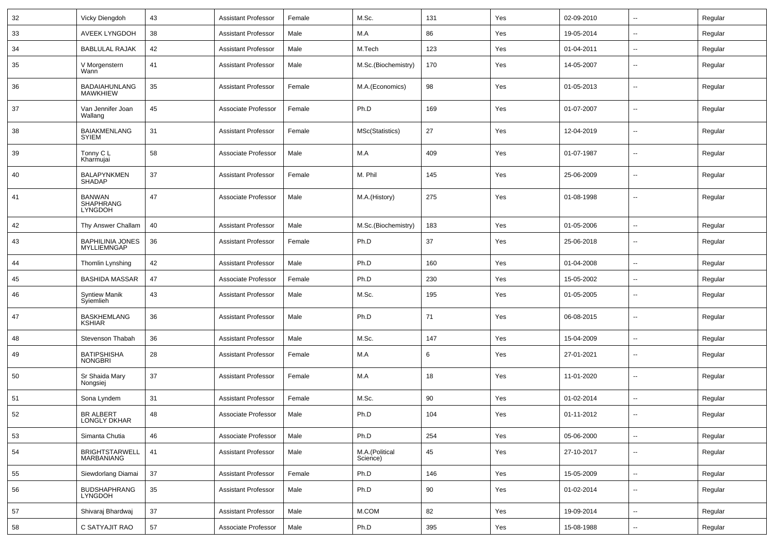| 32 | Vicky Diengdoh                                      | 43 | <b>Assistant Professor</b> | Female | M.Sc.                      | 131 | Yes | 02-09-2010 | $\sim$                   | Regular |
|----|-----------------------------------------------------|----|----------------------------|--------|----------------------------|-----|-----|------------|--------------------------|---------|
| 33 | AVEEK LYNGDOH                                       | 38 | <b>Assistant Professor</b> | Male   | M.A                        | 86  | Yes | 19-05-2014 | $\overline{a}$           | Regular |
| 34 | <b>BABLULAL RAJAK</b>                               | 42 | <b>Assistant Professor</b> | Male   | M.Tech                     | 123 | Yes | 01-04-2011 | $\overline{\phantom{a}}$ | Regular |
| 35 | V Morgenstern<br>Wann <sup>1</sup>                  | 41 | <b>Assistant Professor</b> | Male   | M.Sc.(Biochemistry)        | 170 | Yes | 14-05-2007 | --                       | Regular |
| 36 | BADAIAHUNLANG<br><b>MAWKHIEW</b>                    | 35 | <b>Assistant Professor</b> | Female | M.A.(Economics)            | 98  | Yes | 01-05-2013 | $\overline{\phantom{a}}$ | Regular |
| 37 | Van Jennifer Joan<br>Wallang                        | 45 | Associate Professor        | Female | Ph.D                       | 169 | Yes | 01-07-2007 | --                       | Regular |
| 38 | <b>BAIAKMENLANG</b><br><b>SYIEM</b>                 | 31 | <b>Assistant Professor</b> | Female | MSc(Statistics)            | 27  | Yes | 12-04-2019 | $\mathbf{u}$             | Regular |
| 39 | Tonny C L<br>Kharmujai                              | 58 | Associate Professor        | Male   | M.A                        | 409 | Yes | 01-07-1987 | --                       | Regular |
| 40 | <b>BALAPYNKMEN</b><br>SHADAP                        | 37 | <b>Assistant Professor</b> | Female | M. Phil                    | 145 | Yes | 25-06-2009 | $\overline{\phantom{a}}$ | Regular |
| 41 | <b>BANWAN</b><br><b>SHAPHRANG</b><br><b>LYNGDOH</b> | 47 | Associate Professor        | Male   | M.A.(History)              | 275 | Yes | 01-08-1998 | --                       | Regular |
| 42 | Thy Answer Challam                                  | 40 | <b>Assistant Professor</b> | Male   | M.Sc.(Biochemistry)        | 183 | Yes | 01-05-2006 | $\mathbf{u}$             | Regular |
| 43 | <b>BAPHILINIA JONES</b><br><b>MYLLIEMNGAP</b>       | 36 | <b>Assistant Professor</b> | Female | Ph.D                       | 37  | Yes | 25-06-2018 | --                       | Regular |
| 44 | Thomlin Lynshing                                    | 42 | <b>Assistant Professor</b> | Male   | Ph.D                       | 160 | Yes | 01-04-2008 | --                       | Regular |
| 45 | <b>BASHIDA MASSAR</b>                               | 47 | Associate Professor        | Female | Ph.D                       | 230 | Yes | 15-05-2002 | $\overline{a}$           | Regular |
| 46 | <b>Syntiew Manik</b><br>Syiemlieh                   | 43 | <b>Assistant Professor</b> | Male   | M.Sc.                      | 195 | Yes | 01-05-2005 | $\mathbf{u}$             | Regular |
| 47 | <b>BASKHEMLANG</b><br><b>KSHIAR</b>                 | 36 | <b>Assistant Professor</b> | Male   | Ph.D                       | 71  | Yes | 06-08-2015 | $\mathbf{u}$             | Regular |
| 48 | Stevenson Thabah                                    | 36 | <b>Assistant Professor</b> | Male   | M.Sc.                      | 147 | Yes | 15-04-2009 | $\mathbf{u}$             | Regular |
| 49 | <b>BATIPSHISHA</b><br><b>NONGBRI</b>                | 28 | Assistant Professor        | Female | M.A                        | 6   | Yes | 27-01-2021 | $\overline{\phantom{a}}$ | Regular |
| 50 | Sr Shaida Mary<br>Nongsiej                          | 37 | Assistant Professor        | Female | M.A                        | 18  | Yes | 11-01-2020 | $\mathbf{u}$             | Regular |
| 51 | Sona Lyndem                                         | 31 | <b>Assistant Professor</b> | Female | M.Sc.                      | 90  | Yes | 01-02-2014 | $\sim$                   | Regular |
| 52 | <b>BR ALBERT</b><br>LONGLY DKHAR                    | 48 | Associate Professor        | Male   | Ph.D                       | 104 | Yes | 01-11-2012 |                          | Regular |
| 53 | Simanta Chutia                                      | 46 | Associate Professor        | Male   | Ph.D                       | 254 | Yes | 05-06-2000 | $\overline{\phantom{a}}$ | Regular |
| 54 | BRIGHTSTARWELL<br>MARBANIANG                        | 41 | <b>Assistant Professor</b> | Male   | M.A.(Political<br>Science) | 45  | Yes | 27-10-2017 | $\overline{\phantom{a}}$ | Regular |
| 55 | Siewdorlang Diamai                                  | 37 | <b>Assistant Professor</b> | Female | Ph.D                       | 146 | Yes | 15-05-2009 | $\overline{\phantom{a}}$ | Regular |
| 56 | <b>BUDSHAPHRANG</b><br><b>LYNGDOH</b>               | 35 | <b>Assistant Professor</b> | Male   | Ph.D                       | 90  | Yes | 01-02-2014 | $\mathbf{u}$             | Regular |
| 57 | Shivaraj Bhardwaj                                   | 37 | <b>Assistant Professor</b> | Male   | M.COM                      | 82  | Yes | 19-09-2014 | $\overline{\phantom{a}}$ | Regular |
| 58 | C SATYAJIT RAO                                      | 57 | Associate Professor        | Male   | Ph.D                       | 395 | Yes | 15-08-1988 | $\overline{\phantom{a}}$ | Regular |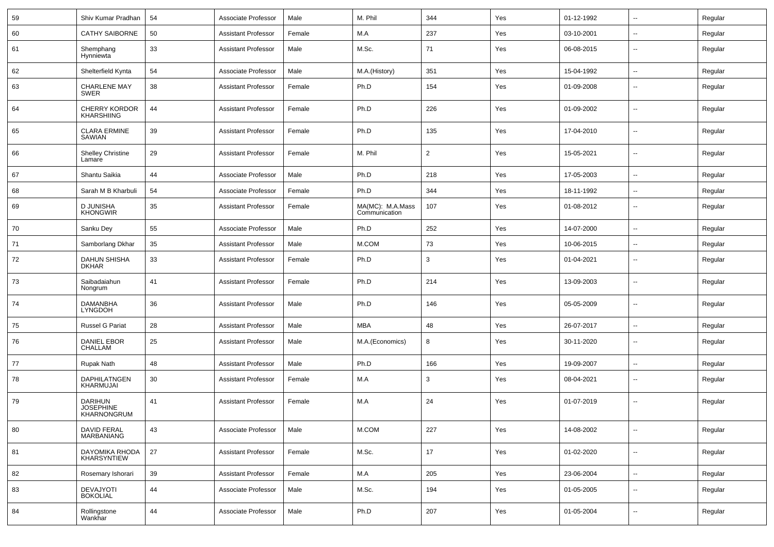| 59 | Shiv Kumar Pradhan                                | 54 | Associate Professor        | Male   | M. Phil                           | 344            | Yes | 01-12-1992 | $\sim$                   | Regular |
|----|---------------------------------------------------|----|----------------------------|--------|-----------------------------------|----------------|-----|------------|--------------------------|---------|
| 60 | <b>CATHY SAIBORNE</b>                             | 50 | Assistant Professor        | Female | M.A                               | 237            | Yes | 03-10-2001 | $\overline{a}$           | Regular |
| 61 | Shemphang<br>Hynniewta                            | 33 | <b>Assistant Professor</b> | Male   | M.Sc.                             | 71             | Yes | 06-08-2015 | $\overline{\phantom{a}}$ | Regular |
| 62 | Shelterfield Kynta                                | 54 | Associate Professor        | Male   | M.A.(History)                     | 351            | Yes | 15-04-1992 | $\overline{\phantom{a}}$ | Regular |
| 63 | <b>CHARLENE MAY</b><br>SWER                       | 38 | <b>Assistant Professor</b> | Female | Ph.D                              | 154            | Yes | 01-09-2008 | $\overline{\phantom{a}}$ | Regular |
| 64 | CHERRY KORDOR<br>KHARSHIING                       | 44 | <b>Assistant Professor</b> | Female | Ph.D                              | 226            | Yes | 01-09-2002 | $\overline{a}$           | Regular |
| 65 | <b>CLARA ERMINE</b><br>SAWIAN                     | 39 | <b>Assistant Professor</b> | Female | Ph.D                              | 135            | Yes | 17-04-2010 | $\overline{\phantom{a}}$ | Regular |
| 66 | <b>Shelley Christine</b><br>Lamare                | 29 | <b>Assistant Professor</b> | Female | M. Phil                           | $\overline{2}$ | Yes | 15-05-2021 | --                       | Regular |
| 67 | Shantu Saikia                                     | 44 | Associate Professor        | Male   | Ph.D                              | 218            | Yes | 17-05-2003 | $\mathbf{u}$             | Regular |
| 68 | Sarah M B Kharbuli                                | 54 | Associate Professor        | Female | Ph.D                              | 344            | Yes | 18-11-1992 | $\sim$                   | Regular |
| 69 | <b>D JUNISHA</b><br><b>KHONGWIR</b>               | 35 | <b>Assistant Professor</b> | Female | MA(MC): M.A.Mass<br>Communication | 107            | Yes | 01-08-2012 | $\overline{\phantom{a}}$ | Regular |
| 70 | Sanku Dey                                         | 55 | Associate Professor        | Male   | Ph.D                              | 252            | Yes | 14-07-2000 | $\sim$                   | Regular |
| 71 | Samborlang Dkhar                                  | 35 | Assistant Professor        | Male   | M.COM                             | 73             | Yes | 10-06-2015 | $\sim$                   | Regular |
| 72 | <b>DAHUN SHISHA</b><br><b>DKHAR</b>               | 33 | Assistant Professor        | Female | Ph.D                              | 3              | Yes | 01-04-2021 | $\overline{\phantom{a}}$ | Regular |
| 73 | Saibadaiahun<br>Nongrum                           | 41 | Assistant Professor        | Female | Ph.D                              | 214            | Yes | 13-09-2003 | $\sim$                   | Regular |
| 74 | DAMANBHA<br><b>LYNGDOH</b>                        | 36 | Assistant Professor        | Male   | Ph.D                              | 146            | Yes | 05-05-2009 | $\sim$                   | Regular |
| 75 | Russel G Pariat                                   | 28 | Assistant Professor        | Male   | MBA                               | 48             | Yes | 26-07-2017 | $\mathbf{u}$             | Regular |
| 76 | <b>DANIEL EBOR</b><br>CHALLAM                     | 25 | <b>Assistant Professor</b> | Male   | M.A.(Economics)                   | 8              | Yes | 30-11-2020 | $\overline{\phantom{a}}$ | Regular |
| 77 | <b>Rupak Nath</b>                                 | 48 | <b>Assistant Professor</b> | Male   | Ph.D                              | 166            | Yes | 19-09-2007 | $\overline{\phantom{a}}$ | Regular |
| 78 | DAPHILATNGEN<br>KHARMUJAI                         | 30 | Assistant Professor        | Female | M.A                               | 3              | Yes | 08-04-2021 | $\overline{\phantom{a}}$ | Regular |
| 79 | <b>DARIHUN</b><br><b>JOSEPHINE</b><br>KHARNONGRUM | 41 | <b>Assistant Professor</b> | Female | M.A                               | 24             | Yes | 01-07-2019 | $\overline{\phantom{a}}$ | Regular |
| 80 | DAVID FERAL<br>MARBANIANG                         | 43 | Associate Professor        | Male   | M.COM                             | 227            | Yes | 14-08-2002 | $\overline{\phantom{a}}$ | Regular |
| 81 | DAYOMIKA RHODA<br>KHARSYNTIEW                     | 27 | <b>Assistant Professor</b> | Female | M.Sc.                             | 17             | Yes | 01-02-2020 | $\sim$                   | Regular |
| 82 | Rosemary Ishorari                                 | 39 | <b>Assistant Professor</b> | Female | $M.A$                             | 205            | Yes | 23-06-2004 | $\sim$                   | Regular |
| 83 | DEVAJYOTI<br><b>BOKOLIAL</b>                      | 44 | Associate Professor        | Male   | M.Sc.                             | 194            | Yes | 01-05-2005 | $\mathbf{u}$             | Regular |
| 84 | Rollingstone<br>Wankhar                           | 44 | Associate Professor        | Male   | Ph.D                              | 207            | Yes | 01-05-2004 | $\sim$                   | Regular |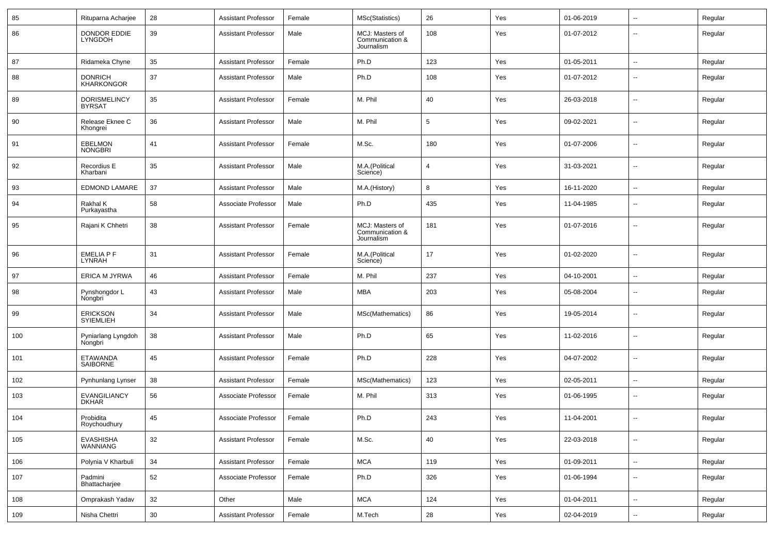| 85  | Rituparna Acharjee                   | 28              | <b>Assistant Professor</b> | Female | MSc(Statistics)                                  | 26             | Yes | 01-06-2019 | $\overline{\phantom{a}}$ | Regular |
|-----|--------------------------------------|-----------------|----------------------------|--------|--------------------------------------------------|----------------|-----|------------|--------------------------|---------|
| 86  | DONDOR EDDIE<br>LYNGDOH              | 39              | <b>Assistant Professor</b> | Male   | MCJ: Masters of<br>Communication &<br>Journalism | 108            | Yes | 01-07-2012 | --                       | Regular |
| 87  | Ridameka Chyne                       | 35              | <b>Assistant Professor</b> | Female | Ph.D                                             | 123            | Yes | 01-05-2011 | $\overline{\phantom{a}}$ | Regular |
| 88  | <b>DONRICH</b><br><b>KHARKONGOR</b>  | 37              | <b>Assistant Professor</b> | Male   | Ph.D                                             | 108            | Yes | 01-07-2012 | --                       | Regular |
| 89  | <b>DORISMELINCY</b><br><b>BYRSAT</b> | 35              | <b>Assistant Professor</b> | Female | M. Phil                                          | 40             | Yes | 26-03-2018 | $\overline{\phantom{a}}$ | Regular |
| 90  | Release Eknee C<br>Khongrei          | 36              | <b>Assistant Professor</b> | Male   | M. Phil                                          | 5              | Yes | 09-02-2021 | --                       | Regular |
| 91  | <b>EBELMON</b><br><b>NONGBRI</b>     | 41              | <b>Assistant Professor</b> | Female | M.Sc.                                            | 180            | Yes | 01-07-2006 | --                       | Regular |
| 92  | Recordius E<br>Kharbani              | 35              | <b>Assistant Professor</b> | Male   | M.A.(Political<br>Science)                       | $\overline{4}$ | Yes | 31-03-2021 | --                       | Regular |
| 93  | <b>EDMOND LAMARE</b>                 | 37              | <b>Assistant Professor</b> | Male   | M.A.(History)                                    | 8              | Yes | 16-11-2020 | $\overline{\phantom{a}}$ | Regular |
| 94  | Rakhal K<br>Purkayastha              | 58              | Associate Professor        | Male   | Ph.D                                             | 435            | Yes | 11-04-1985 | -−                       | Regular |
| 95  | Rajani K Chhetri                     | 38              | <b>Assistant Professor</b> | Female | MCJ: Masters of<br>Communication &<br>Journalism | 181            | Yes | 01-07-2016 | --                       | Regular |
| 96  | <b>EMELIA P F</b><br>LYNRAH          | 31              | <b>Assistant Professor</b> | Female | M.A.(Political<br>Science)                       | 17             | Yes | 01-02-2020 | --                       | Regular |
| 97  | <b>ERICA M JYRWA</b>                 | 46              | <b>Assistant Professor</b> | Female | M. Phil                                          | 237            | Yes | 04-10-2001 | --                       | Regular |
| 98  | Pynshongdor L<br>Nongbri             | 43              | <b>Assistant Professor</b> | Male   | <b>MBA</b>                                       | 203            | Yes | 05-08-2004 | $\overline{\phantom{a}}$ | Regular |
| 99  | <b>ERICKSON</b><br><b>SYIEMLIEH</b>  | 34              | <b>Assistant Professor</b> | Male   | MSc(Mathematics)                                 | 86             | Yes | 19-05-2014 | --                       | Regular |
| 100 | Pyniarlang Lyngdoh<br>Nongbri        | 38              | <b>Assistant Professor</b> | Male   | Ph.D                                             | 65             | Yes | 11-02-2016 | $\overline{\phantom{a}}$ | Regular |
| 101 | ETAWANDA<br>SAIBORNE                 | 45              | <b>Assistant Professor</b> | Female | Ph.D                                             | 228            | Yes | 04-07-2002 | --                       | Regular |
| 102 | Pynhunlang Lynser                    | 38              | <b>Assistant Professor</b> | Female | MSc(Mathematics)                                 | 123            | Yes | 02-05-2011 | $\overline{a}$           | Regular |
| 103 | <b>EVANGILIANCY</b><br><b>DKHAR</b>  | 56              | Associate Professor        | Female | M. Phil                                          | 313            | Yes | 01-06-1995 | --                       | Regular |
| 104 | Probidita<br>Roychoudhury            | 45              | Associate Professor        | Female | Ph.D                                             | 243            | Yes | 11-04-2001 | $\overline{a}$           | Regular |
| 105 | EVASHISHA<br>WANNIANG                | 32              | <b>Assistant Professor</b> | Female | M.Sc.                                            | 40             | Yes | 22-03-2018 | ц.                       | Regular |
| 106 | Polynia V Kharbuli                   | $34\,$          | <b>Assistant Professor</b> | Female | <b>MCA</b>                                       | 119            | Yes | 01-09-2011 | ш.                       | Regular |
| 107 | Padmini<br>Bhattacharjee             | 52              | Associate Professor        | Female | Ph.D                                             | 326            | Yes | 01-06-1994 | $\overline{\phantom{a}}$ | Regular |
| 108 | Omprakash Yadav                      | 32              | Other                      | Male   | <b>MCA</b>                                       | 124            | Yes | 01-04-2011 | $\sim$                   | Regular |
| 109 | Nisha Chettri                        | 30 <sup>°</sup> | <b>Assistant Professor</b> | Female | M.Tech                                           | 28             | Yes | 02-04-2019 | $\sim$                   | Regular |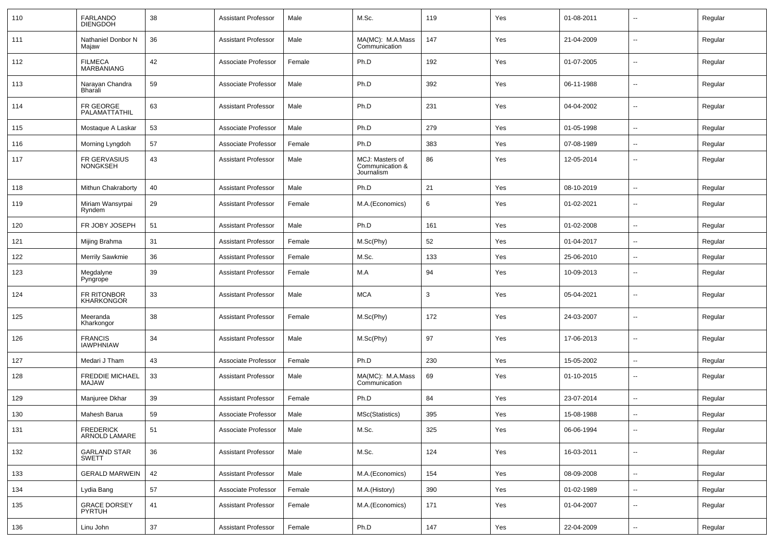| 110 | FARLANDO<br><b>DIENGDOH</b>         | 38 | <b>Assistant Professor</b> | Male   | M.Sc.                                            | 119 | Yes | 01-08-2011 | $\overline{\phantom{a}}$ | Regular |
|-----|-------------------------------------|----|----------------------------|--------|--------------------------------------------------|-----|-----|------------|--------------------------|---------|
| 111 | Nathaniel Donbor N<br>Majaw         | 36 | <b>Assistant Professor</b> | Male   | MA(MC): M.A.Mass<br>Communication                | 147 | Yes | 21-04-2009 | $\overline{\phantom{a}}$ | Regular |
| 112 | <b>FILMECA</b><br><b>MARBANIANG</b> | 42 | Associate Professor        | Female | Ph.D                                             | 192 | Yes | 01-07-2005 | $\overline{\phantom{a}}$ | Regular |
| 113 | Narayan Chandra<br>Bharali          | 59 | Associate Professor        | Male   | Ph.D                                             | 392 | Yes | 06-11-1988 | $\overline{\phantom{a}}$ | Regular |
| 114 | FR GEORGE<br>PALAMATTATHIL          | 63 | <b>Assistant Professor</b> | Male   | Ph.D                                             | 231 | Yes | 04-04-2002 | $\overline{\phantom{a}}$ | Regular |
| 115 | Mostaque A Laskar                   | 53 | Associate Professor        | Male   | Ph.D                                             | 279 | Yes | 01-05-1998 | ⊷.                       | Regular |
| 116 | Morning Lyngdoh                     | 57 | Associate Professor        | Female | Ph.D                                             | 383 | Yes | 07-08-1989 | --                       | Regular |
| 117 | FR GERVASIUS<br>NONGKSEH            | 43 | <b>Assistant Professor</b> | Male   | MCJ: Masters of<br>Communication &<br>Journalism | 86  | Yes | 12-05-2014 | --                       | Regular |
| 118 | Mithun Chakraborty                  | 40 | <b>Assistant Professor</b> | Male   | Ph.D                                             | 21  | Yes | 08-10-2019 | --                       | Regular |
| 119 | Miriam Wansyrpai<br>Ryndem          | 29 | <b>Assistant Professor</b> | Female | M.A.(Economics)                                  | 6   | Yes | 01-02-2021 | $\overline{\phantom{a}}$ | Regular |
| 120 | FR JOBY JOSEPH                      | 51 | <b>Assistant Professor</b> | Male   | Ph.D                                             | 161 | Yes | 01-02-2008 | ۵.                       | Regular |
| 121 | Mijing Brahma                       | 31 | <b>Assistant Professor</b> | Female | M.Sc(Phy)                                        | 52  | Yes | 01-04-2017 | $\overline{a}$           | Regular |
| 122 | <b>Merrily Sawkmie</b>              | 36 | <b>Assistant Professor</b> | Female | M.Sc.                                            | 133 | Yes | 25-06-2010 | --                       | Regular |
| 123 | Megdalyne<br>Pyngrope               | 39 | <b>Assistant Professor</b> | Female | M.A                                              | 94  | Yes | 10-09-2013 | $\overline{a}$           | Regular |
| 124 | FR RITONBOR<br><b>KHARKONGOR</b>    | 33 | <b>Assistant Professor</b> | Male   | <b>MCA</b>                                       | 3   | Yes | 05-04-2021 | ۵.                       | Regular |
| 125 | Meeranda<br>Kharkongor              | 38 | <b>Assistant Professor</b> | Female | M.Sc(Phy)                                        | 172 | Yes | 24-03-2007 | $\overline{\phantom{a}}$ | Regular |
| 126 | <b>FRANCIS</b><br><b>IAWPHNIAW</b>  | 34 | <b>Assistant Professor</b> | Male   | M.Sc(Phy)                                        | 97  | Yes | 17-06-2013 | $\overline{a}$           | Regular |
| 127 | Medari J Tham                       | 43 | Associate Professor        | Female | Ph.D                                             | 230 | Yes | 15-05-2002 | $\overline{\phantom{a}}$ | Regular |
| 128 | <b>FREDDIE MICHAEL</b><br>MAJAW     | 33 | <b>Assistant Professor</b> | Male   | MA(MC): M.A.Mass<br>Communication                | 69  | Yes | 01-10-2015 | $\overline{\phantom{a}}$ | Regular |
| 129 | Manjuree Dkhar                      | 39 | Assistant Professor        | Female | Ph.D                                             | 84  | Yes | 23-07-2014 | $\overline{\phantom{a}}$ | Regular |
| 130 | Mahesh Barua                        | 59 | Associate Professor        | Male   | MSc(Statistics)                                  | 395 | Yes | 15-08-1988 |                          | Regular |
| 131 | FREDERICK<br>ARNOLD LAMARE          | 51 | Associate Professor        | Male   | M.Sc.                                            | 325 | Yes | 06-06-1994 | $\overline{\phantom{a}}$ | Regular |
| 132 | <b>GARLAND STAR</b><br><b>SWETT</b> | 36 | <b>Assistant Professor</b> | Male   | M.Sc.                                            | 124 | Yes | 16-03-2011 | $\overline{\phantom{a}}$ | Regular |
| 133 | <b>GERALD MARWEIN</b>               | 42 | <b>Assistant Professor</b> | Male   | M.A.(Economics)                                  | 154 | Yes | 08-09-2008 | Щ,                       | Regular |
| 134 | Lydia Bang                          | 57 | Associate Professor        | Female | M.A.(History)                                    | 390 | Yes | 01-02-1989 | $\overline{\phantom{a}}$ | Regular |
| 135 | <b>GRACE DORSEY</b><br>PYRTUH       | 41 | <b>Assistant Professor</b> | Female | M.A.(Economics)                                  | 171 | Yes | 01-04-2007 | $\overline{\phantom{a}}$ | Regular |
| 136 | Linu John                           | 37 | <b>Assistant Professor</b> | Female | Ph.D                                             | 147 | Yes | 22-04-2009 | $\overline{\phantom{a}}$ | Regular |